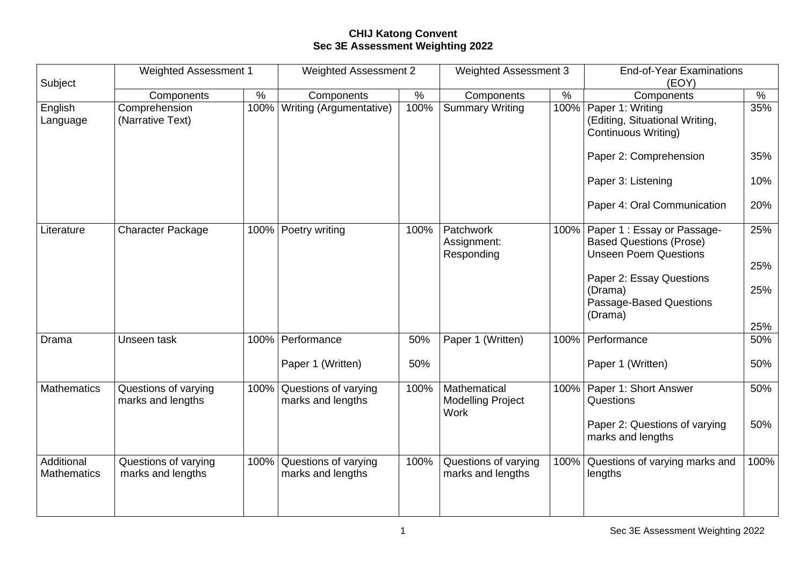## **CHIJ Katong Convent Sec 3E Assessment Weighting 2022**

| <b>Weighted Assessment 1</b>              |            | Weighted Assessment 2                     |                                                                    | <b>Weighted Assessment 3</b>              |             | <b>End-of-Year Examinations</b><br>(EOY)                                                      |                                                                     |
|-------------------------------------------|------------|-------------------------------------------|--------------------------------------------------------------------|-------------------------------------------|-------------|-----------------------------------------------------------------------------------------------|---------------------------------------------------------------------|
|                                           | $\%$       |                                           | $\%$                                                               | Components                                | $\%$        | Components                                                                                    | $\%$                                                                |
| Comprehension<br>(Narrative Text)         |            |                                           | 100%                                                               | <b>Summary Writing</b>                    | 100%        | Paper 1: Writing<br>(Editing, Situational Writing,<br><b>Continuous Writing)</b>              | 35%                                                                 |
|                                           |            |                                           |                                                                    |                                           |             | Paper 2: Comprehension                                                                        | 35%                                                                 |
|                                           |            |                                           |                                                                    |                                           |             | Paper 3: Listening                                                                            | 10%                                                                 |
|                                           |            |                                           |                                                                    |                                           |             | Paper 4: Oral Communication                                                                   | 20%                                                                 |
| <b>Character Package</b>                  |            | Poetry writing                            | 100%                                                               | Patchwork<br>Assignment:<br>Responding    |             | Paper 1 : Essay or Passage-<br><b>Based Questions (Prose)</b><br><b>Unseen Poem Questions</b> | 25%                                                                 |
|                                           |            |                                           |                                                                    |                                           |             |                                                                                               | 25%                                                                 |
|                                           |            |                                           |                                                                    |                                           |             | (Drama)<br>Passage-Based Questions                                                            | 25%                                                                 |
|                                           |            |                                           |                                                                    |                                           |             |                                                                                               | 25%                                                                 |
| Unseen task                               |            | Performance                               | 50%                                                                | Paper 1 (Written)                         |             | Performance                                                                                   | 50%                                                                 |
|                                           |            | Paper 1 (Written)                         | 50%                                                                |                                           |             | Paper 1 (Written)                                                                             | 50%                                                                 |
| Questions of varying<br>marks and lengths | 100%       | Questions of varying<br>marks and lengths | 100%                                                               | Mathematical<br><b>Modelling Project</b>  |             | Paper 1: Short Answer<br>Questions                                                            | 50%                                                                 |
|                                           |            |                                           |                                                                    |                                           |             | Paper 2: Questions of varying<br>marks and lengths                                            | 50%                                                                 |
| Questions of varying<br>marks and lengths |            | Questions of varying<br>marks and lengths | 100%                                                               | Questions of varying<br>marks and lengths |             | Questions of varying marks and<br>lengths                                                     | 100%                                                                |
|                                           | Components |                                           | Components<br>100% Writing (Argumentative)<br>100%<br>100%<br>100% |                                           | <b>Work</b> |                                                                                               | 100%<br>Paper 2: Essay Questions<br>(Drama)<br>100%<br>100%<br>100% |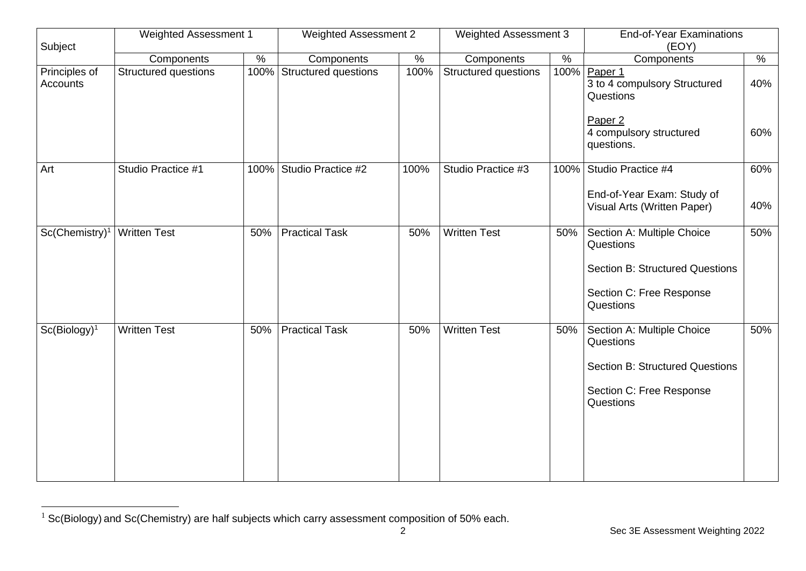| Subject                          | <b>Weighted Assessment 1</b> |      | <b>Weighted Assessment 2</b> |      | Weighted Assessment 3 |      | <b>End-of-Year Examinations</b><br>(EOY)                    |               |
|----------------------------------|------------------------------|------|------------------------------|------|-----------------------|------|-------------------------------------------------------------|---------------|
|                                  | Components                   | $\%$ | Components                   | $\%$ | Components            | $\%$ | Components                                                  | $\frac{1}{2}$ |
| Principles of<br><b>Accounts</b> | <b>Structured questions</b>  | 100% | Structured questions         | 100% | Structured questions  | 100% | Paper 1<br>3 to 4 compulsory Structured<br>Questions        | 40%           |
|                                  |                              |      |                              |      |                       |      | Paper <sub>2</sub><br>4 compulsory structured<br>questions. | 60%           |
| Art                              | Studio Practice #1           | 100% | Studio Practice #2           | 100% | Studio Practice #3    | 100% | Studio Practice #4                                          | 60%           |
|                                  |                              |      |                              |      |                       |      | End-of-Year Exam: Study of<br>Visual Arts (Written Paper)   | 40%           |
| Sc(Chemistry) <sup>1</sup>       | <b>Written Test</b>          | 50%  | <b>Practical Task</b>        | 50%  | <b>Written Test</b>   | 50%  | Section A: Multiple Choice<br>Questions                     | 50%           |
|                                  |                              |      |                              |      |                       |      | <b>Section B: Structured Questions</b>                      |               |
|                                  |                              |      |                              |      |                       |      | Section C: Free Response<br>Questions                       |               |
| $Sc(Biology)^1$                  | <b>Written Test</b>          | 50%  | <b>Practical Task</b>        | 50%  | <b>Written Test</b>   | 50%  | Section A: Multiple Choice<br>Questions                     | 50%           |
|                                  |                              |      |                              |      |                       |      | <b>Section B: Structured Questions</b>                      |               |
|                                  |                              |      |                              |      |                       |      | Section C: Free Response<br>Questions                       |               |
|                                  |                              |      |                              |      |                       |      |                                                             |               |
|                                  |                              |      |                              |      |                       |      |                                                             |               |

<sup>&</sup>lt;sup>1</sup> Sc(Biology) and Sc(Chemistry) are half subjects which carry assessment composition of 50% each.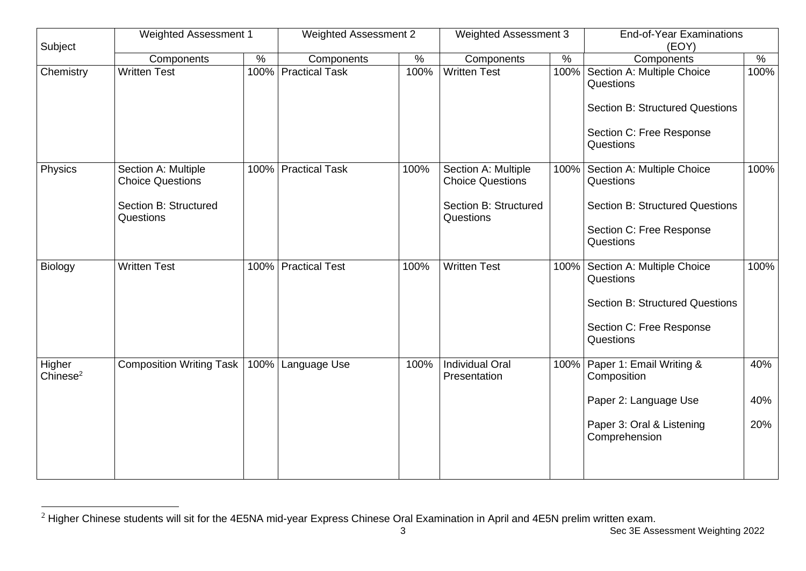| Subject                        | Weighted Assessment 1                          |               | <b>Weighted Assessment 2</b> |               | <b>Weighted Assessment 3</b>                   |               | <b>End-of-Year Examinations</b><br>(EOY)                                          |               |
|--------------------------------|------------------------------------------------|---------------|------------------------------|---------------|------------------------------------------------|---------------|-----------------------------------------------------------------------------------|---------------|
|                                | Components                                     | $\frac{9}{6}$ | Components                   | $\frac{1}{2}$ | Components                                     | $\frac{9}{6}$ | Components                                                                        | $\frac{8}{6}$ |
| Chemistry                      | <b>Written Test</b>                            |               | 100% Practical Task          | 100%          | <b>Written Test</b>                            | 100%          | Section A: Multiple Choice<br>Questions<br><b>Section B: Structured Questions</b> | 100%          |
|                                |                                                |               |                              |               |                                                |               | Section C: Free Response<br>Questions                                             |               |
| Physics                        | Section A: Multiple<br><b>Choice Questions</b> | 100%          | <b>Practical Task</b>        | 100%          | Section A: Multiple<br><b>Choice Questions</b> | 100%          | Section A: Multiple Choice<br>Questions                                           | 100%          |
|                                | <b>Section B: Structured</b><br>Questions      |               |                              |               | Section B: Structured<br>Questions             |               | <b>Section B: Structured Questions</b>                                            |               |
|                                |                                                |               |                              |               |                                                |               | Section C: Free Response<br>Questions                                             |               |
| Biology                        | <b>Written Test</b>                            | 100%          | <b>Practical Test</b>        | 100%          | <b>Written Test</b>                            |               | 100% Section A: Multiple Choice<br>Questions                                      | 100%          |
|                                |                                                |               |                              |               |                                                |               | <b>Section B: Structured Questions</b>                                            |               |
|                                |                                                |               |                              |               |                                                |               | Section C: Free Response<br>Questions                                             |               |
| Higher<br>Chinese <sup>2</sup> | <b>Composition Writing Task</b>                | 100%          | Language Use                 | 100%          | <b>Individual Oral</b><br>Presentation         | 100%          | Paper 1: Email Writing &<br>Composition                                           | 40%           |
|                                |                                                |               |                              |               |                                                |               | Paper 2: Language Use                                                             | 40%           |
|                                |                                                |               |                              |               |                                                |               | Paper 3: Oral & Listening<br>Comprehension                                        | 20%           |
|                                |                                                |               |                              |               |                                                |               |                                                                                   |               |

 $^2$  Higher Chinese students will sit for the 4E5NA mid-year Express Chinese Oral Examination in April and 4E5N prelim written exam.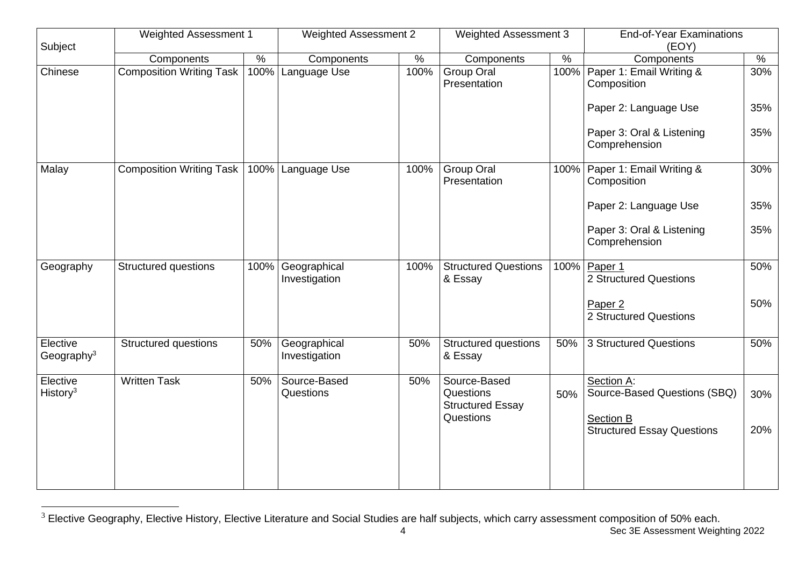| Subject                          | <b>Weighted Assessment 1</b>    |      | <b>Weighted Assessment 2</b>  |      | <b>Weighted Assessment 3</b>                                      |      | <b>End-of-Year Examinations</b><br>(EOY)                |     |
|----------------------------------|---------------------------------|------|-------------------------------|------|-------------------------------------------------------------------|------|---------------------------------------------------------|-----|
|                                  | Components                      | $\%$ | Components                    | $\%$ | Components                                                        | $\%$ | Components                                              | %   |
| Chinese                          | <b>Composition Writing Task</b> | 100% | Language Use                  | 100% | Group Oral<br>Presentation                                        | 100% | Paper 1: Email Writing &<br>Composition                 | 30% |
|                                  |                                 |      |                               |      |                                                                   |      | Paper 2: Language Use                                   | 35% |
|                                  |                                 |      |                               |      |                                                                   |      | Paper 3: Oral & Listening<br>Comprehension              | 35% |
| Malay                            | <b>Composition Writing Task</b> | 100% | Language Use                  | 100% | Group Oral<br>Presentation                                        | 100% | Paper 1: Email Writing &<br>Composition                 | 30% |
|                                  |                                 |      |                               |      |                                                                   |      | Paper 2: Language Use                                   | 35% |
|                                  |                                 |      |                               |      |                                                                   |      | Paper 3: Oral & Listening<br>Comprehension              | 35% |
| Geography                        | <b>Structured questions</b>     | 100% | Geographical<br>Investigation | 100% | <b>Structured Questions</b><br>& Essay                            |      | 100% Paper 1<br>2 Structured Questions                  | 50% |
|                                  |                                 |      |                               |      |                                                                   |      | Paper <sub>2</sub><br>2 Structured Questions            | 50% |
| Elective<br>Geography $3$        | <b>Structured questions</b>     | 50%  | Geographical<br>Investigation | 50%  | <b>Structured questions</b><br>& Essay                            | 50%  | 3 Structured Questions                                  | 50% |
| Elective<br>History <sup>3</sup> | <b>Written Task</b>             | 50%  | Source-Based<br>Questions     | 50%  | Source-Based<br>Questions<br><b>Structured Essay</b><br>Questions | 50%  | Section A:<br>Source-Based Questions (SBQ)<br>Section B | 30% |
|                                  |                                 |      |                               |      |                                                                   |      | <b>Structured Essay Questions</b>                       | 20% |

 $3$  Elective Geography, Elective History, Elective Literature and Social Studies are half subjects, which carry assessment composition of 50% each.